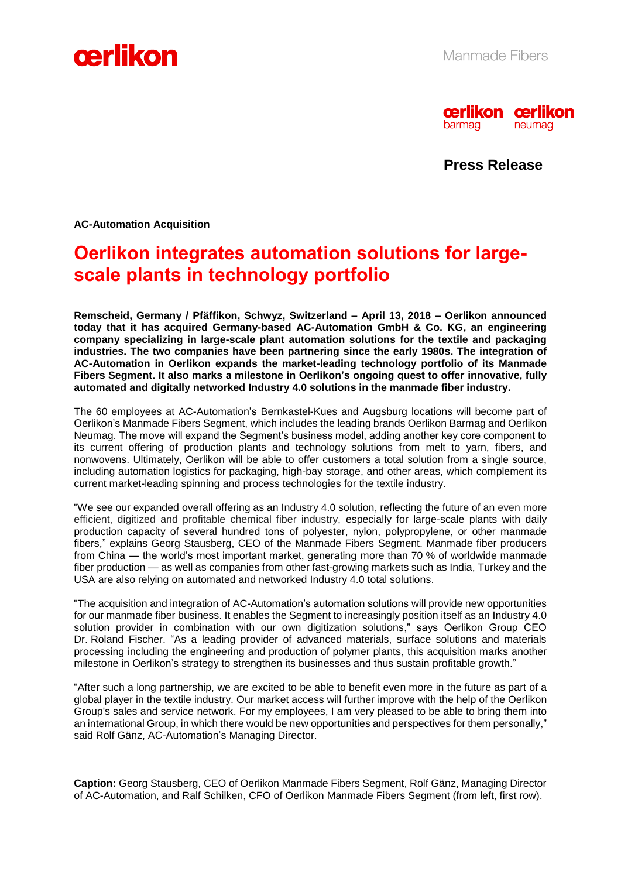



**Press Release**

**AC-Automation Acquisition** 

# **Oerlikon integrates automation solutions for largescale plants in technology portfolio**

**Remscheid, Germany / Pfäffikon, Schwyz, Switzerland – April 13, 2018 – Oerlikon announced today that it has acquired Germany-based AC-Automation GmbH & Co. KG, an engineering company specializing in large-scale plant automation solutions for the textile and packaging industries. The two companies have been partnering since the early 1980s. The integration of AC-Automation in Oerlikon expands the market-leading technology portfolio of its Manmade Fibers Segment. It also marks a milestone in Oerlikon's ongoing quest to offer innovative, fully automated and digitally networked Industry 4.0 solutions in the manmade fiber industry.**

The 60 employees at AC-Automation's Bernkastel-Kues and Augsburg locations will become part of Oerlikon's Manmade Fibers Segment, which includes the leading brands Oerlikon Barmag and Oerlikon Neumag. The move will expand the Segment's business model, adding another key core component to its current offering of production plants and technology solutions from melt to yarn, fibers, and nonwovens. Ultimately, Oerlikon will be able to offer customers a total solution from a single source, including automation logistics for packaging, high-bay storage, and other areas, which complement its current market-leading spinning and process technologies for the textile industry.

"We see our expanded overall offering as an Industry 4.0 solution, reflecting the future of an even more efficient, digitized and profitable chemical fiber industry, especially for large-scale plants with daily production capacity of several hundred tons of polyester, nylon, polypropylene, or other manmade fibers," explains Georg Stausberg, CEO of the Manmade Fibers Segment. Manmade fiber producers from China — the world's most important market, generating more than 70 % of worldwide manmade fiber production — as well as companies from other fast-growing markets such as India, Turkey and the USA are also relying on automated and networked Industry 4.0 total solutions.

"The acquisition and integration of AC-Automation's automation solutions will provide new opportunities for our manmade fiber business. It enables the Segment to increasingly position itself as an Industry 4.0 solution provider in combination with our own digitization solutions," says Oerlikon Group CEO Dr. Roland Fischer. "As a leading provider of advanced materials, surface solutions and materials processing including the engineering and production of polymer plants, this acquisition marks another milestone in Oerlikon's strategy to strengthen its businesses and thus sustain profitable growth."

"After such a long partnership, we are excited to be able to benefit even more in the future as part of a global player in the textile industry. Our market access will further improve with the help of the Oerlikon Group's sales and service network. For my employees, I am very pleased to be able to bring them into an international Group, in which there would be new opportunities and perspectives for them personally," said Rolf Gänz, AC-Automation's Managing Director.

**Caption:** Georg Stausberg, CEO of Oerlikon Manmade Fibers Segment, Rolf Gänz, Managing Director of AC-Automation, and Ralf Schilken, CFO of Oerlikon Manmade Fibers Segment (from left, first row).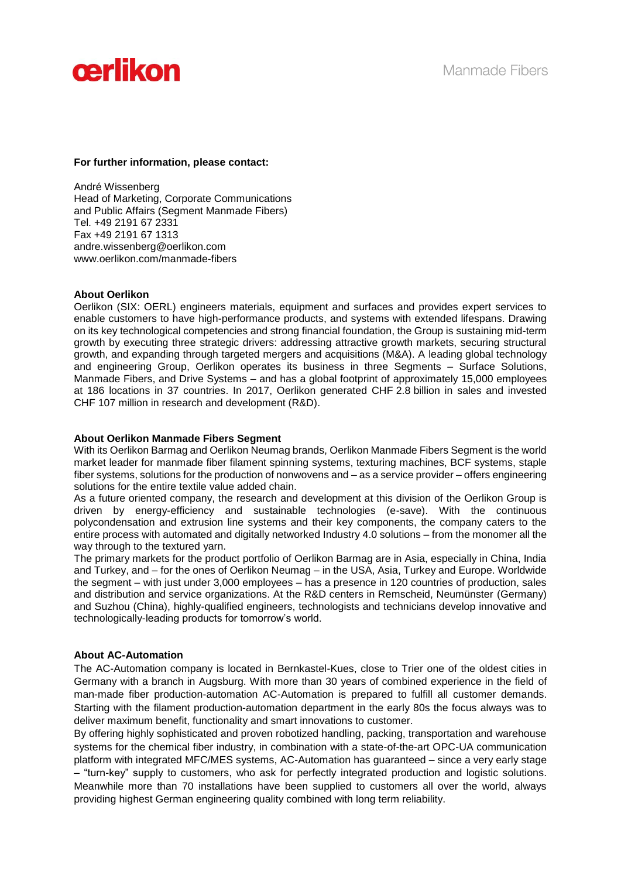

## **For further information, please contact:**

André Wissenberg Head of Marketing, Corporate Communications and Public Affairs (Segment Manmade Fibers) Tel. +49 2191 67 2331 Fax +49 2191 67 1313 [andre.wissenberg@oerlikon.com](mailto:andre.wissenberg@oerlikon.com) www.oerlikon.com/manmade-fibers

## **About Oerlikon**

Oerlikon (SIX: OERL) engineers materials, equipment and surfaces and provides expert services to enable customers to have high-performance products, and systems with extended lifespans. Drawing on its key technological competencies and strong financial foundation, the Group is sustaining mid-term growth by executing three strategic drivers: addressing attractive growth markets, securing structural growth, and expanding through targeted mergers and acquisitions (M&A). A leading global technology and engineering Group, Oerlikon operates its business in three Segments – Surface Solutions, Manmade Fibers, and Drive Systems – and has a global footprint of approximately 15,000 employees at 186 locations in 37 countries. In 2017, Oerlikon generated CHF 2.8 billion in sales and invested CHF 107 million in research and development (R&D).

## **About Oerlikon Manmade Fibers Segment**

With its Oerlikon Barmag and Oerlikon Neumag brands, Oerlikon Manmade Fibers Segment is the world market leader for manmade fiber filament spinning systems, texturing machines, BCF systems, staple fiber systems, solutions for the production of nonwovens and – as a service provider – offers engineering solutions for the entire textile value added chain.

As a future oriented company, the research and development at this division of the Oerlikon Group is driven by energy-efficiency and sustainable technologies (e-save). With the continuous polycondensation and extrusion line systems and their key components, the company caters to the entire process with automated and digitally networked Industry 4.0 solutions – from the monomer all the way through to the textured varn.

The primary markets for the product portfolio of Oerlikon Barmag are in Asia, especially in China, India and Turkey, and – for the ones of Oerlikon Neumag – in the USA, Asia, Turkey and Europe. Worldwide the segment – with just under 3,000 employees – has a presence in 120 countries of production, sales and distribution and service organizations. At the R&D centers in Remscheid, Neumünster (Germany) and Suzhou (China), highly-qualified engineers, technologists and technicians develop innovative and technologically-leading products for tomorrow's world.

#### **About AC-Automation**

The AC-Automation company is located in Bernkastel-Kues, close to Trier one of the oldest cities in Germany with a branch in Augsburg. With more than 30 years of combined experience in the field of man-made fiber production-automation AC-Automation is prepared to fulfill all customer demands. Starting with the filament production-automation department in the early 80s the focus always was to deliver maximum benefit, functionality and smart innovations to customer.

By offering highly sophisticated and proven robotized handling, packing, transportation and warehouse systems for the chemical fiber industry, in combination with a state-of-the-art OPC-UA communication platform with integrated MFC/MES systems, AC-Automation has guaranteed – since a very early stage – "turn-key" supply to customers, who ask for perfectly integrated production and logistic solutions.

Meanwhile more than 70 installations have been supplied to customers all over the world, always providing highest German engineering quality combined with long term reliability.